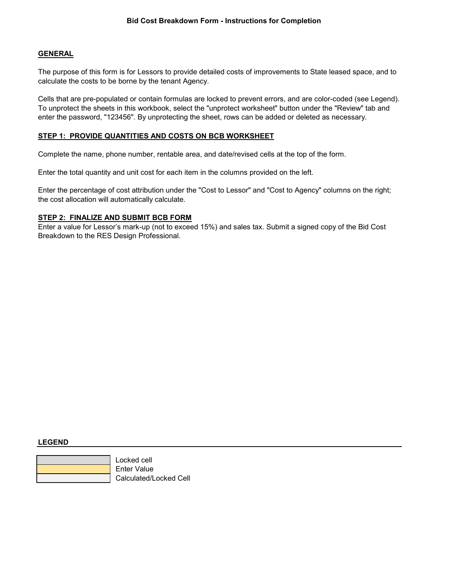## **GENERAL**

The purpose of this form is for Lessors to provide detailed costs of improvements to State leased space, and to calculate the costs to be borne by the tenant Agency.

Cells that are pre-populated or contain formulas are locked to prevent errors, and are color-coded (see Legend). To unprotect the sheets in this workbook, select the "unprotect worksheet" button under the "Review" tab and enter the password, "123456". By unprotecting the sheet, rows can be added or deleted as necessary.

#### **STEP 1: PROVIDE QUANTITIES AND COSTS ON BCB WORKSHEET**

Complete the name, phone number, rentable area, and date/revised cells at the top of the form.

Enter the total quantity and unit cost for each item in the columns provided on the left.

Enter the percentage of cost attribution under the "Cost to Lessor" and "Cost to Agency" columns on the right; the cost allocation will automatically calculate.

### **STEP 2: FINALIZE AND SUBMIT BCB FORM**

Enter a value for Lessor's mark-up (not to exceed 15%) and sales tax. Submit a signed copy of the Bid Cost Breakdown to the RES Design Professional.

#### **LEGEND**



 Locked cell Enter Value Calculated/Locked Cell